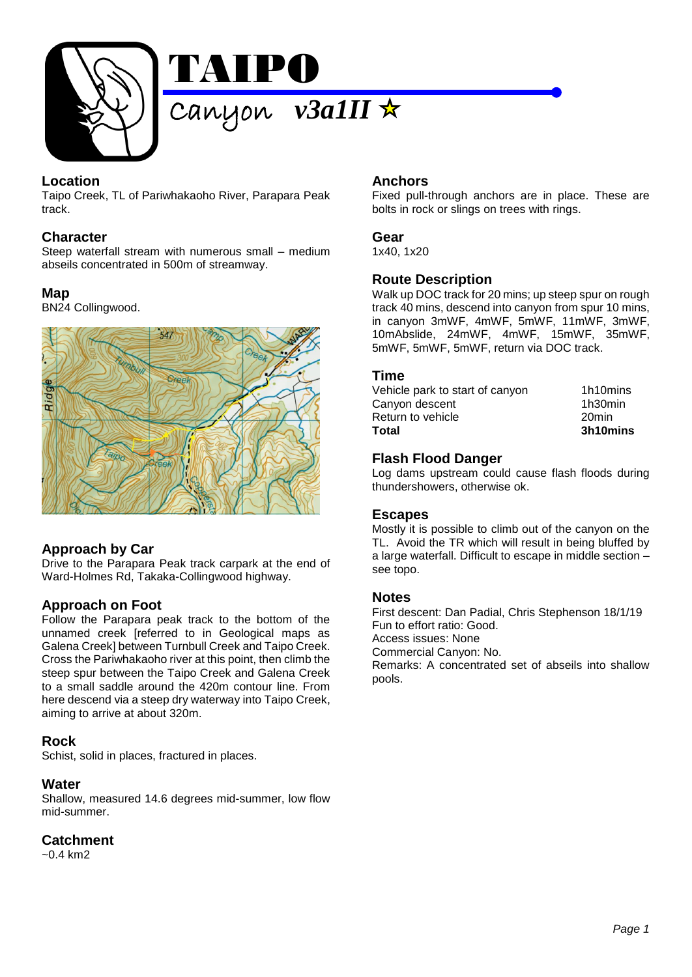

# **Location**

Taipo Creek, TL of Pariwhakaoho River, Parapara Peak track.

### **Character**

Steep waterfall stream with numerous small – medium abseils concentrated in 500m of streamway.

#### **Map**

BN24 Collingwood.



# **Approach by Car**

Drive to the Parapara Peak track carpark at the end of Ward-Holmes Rd, Takaka-Collingwood highway.

# **Approach on Foot**

Follow the Parapara peak track to the bottom of the unnamed creek [referred to in Geological maps as Galena Creek] between Turnbull Creek and Taipo Creek. Cross the Pariwhakaoho river at this point, then climb the steep spur between the Taipo Creek and Galena Creek to a small saddle around the 420m contour line. From here descend via a steep dry waterway into Taipo Creek, aiming to arrive at about 320m.

### **Rock**

Schist, solid in places, fractured in places.

#### **Water**

Shallow, measured 14.6 degrees mid-summer, low flow mid-summer.

## **Catchment**

 $-0.4$  km2

## **Anchors**

Fixed pull-through anchors are in place. These are bolts in rock or slings on trees with rings.

#### **Gear**

1x40, 1x20

### **Route Description**

Walk up DOC track for 20 mins; up steep spur on rough track 40 mins, descend into canyon from spur 10 mins, in canyon 3mWF, 4mWF, 5mWF, 11mWF, 3mWF, 10mAbslide, 24mWF, 4mWF, 15mWF, 35mWF, 5mWF, 5mWF, 5mWF, return via DOC track.

#### **Time**

| Total                           | 3h10mins |
|---------------------------------|----------|
| Return to vehicle               | 20min    |
| Canyon descent                  | 1h30min  |
| Vehicle park to start of canyon | 1h10mins |
|                                 |          |

## **Flash Flood Danger**

Log dams upstream could cause flash floods during thundershowers, otherwise ok.

### **Escapes**

Mostly it is possible to climb out of the canyon on the TL. Avoid the TR which will result in being bluffed by a large waterfall. Difficult to escape in middle section – see topo.

#### **Notes**

First descent: Dan Padial, Chris Stephenson 18/1/19 Fun to effort ratio: Good. Access issues: None Commercial Canyon: No. Remarks: A concentrated set of abseils into shallow pools.